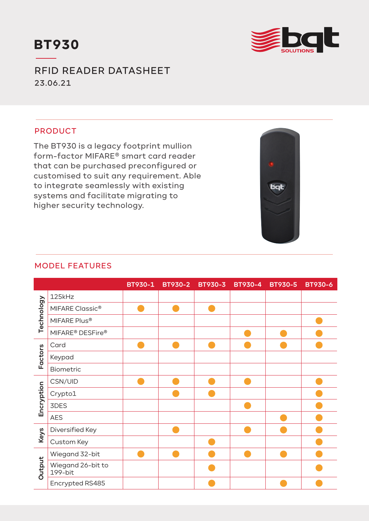



RFID READER DATASHEET 23.06.21

## PRODUCT

The BT930 is a legacy footprint mullion form-factor MIFARE® smart card reader that can be purchased preconfigured or customised to suit any requirement. Able to integrate seamlessly with existing systems and facilitate migrating to higher security technology.



# MODEL FEATURES

|            |                                          | <b>BT930-1</b> | BT930-2 BT930-3 | <b>BT930-4</b> | <b>BT930-5</b> | <b>BT930-6</b> |
|------------|------------------------------------------|----------------|-----------------|----------------|----------------|----------------|
| Technology | 125kHz                                   |                |                 |                |                |                |
|            | MIFARE Classic <sup>®</sup>              |                |                 |                |                |                |
|            | MIFARE Plus®                             |                |                 |                |                |                |
|            | MIFARE <sup>®</sup> DESFire <sup>®</sup> |                |                 |                |                |                |
| Factors    | Card                                     |                |                 |                |                |                |
|            | Keypad                                   |                |                 |                |                |                |
|            | Biometric                                |                |                 |                |                |                |
| Encryption | CSN/UID                                  |                |                 |                |                |                |
|            | Crypto1                                  |                |                 |                |                |                |
|            | 3DES                                     |                |                 |                |                |                |
|            | <b>AES</b>                               |                |                 |                |                |                |
| Keys       | Diversified Key                          |                |                 |                |                |                |
|            | Custom Key                               |                |                 |                |                |                |
| Output     | Wiegand 32-bit                           |                |                 |                |                |                |
|            | Wiegand 26-bit to<br>199-bit             |                |                 |                |                |                |
|            | Encrypted RS485                          |                |                 |                |                |                |